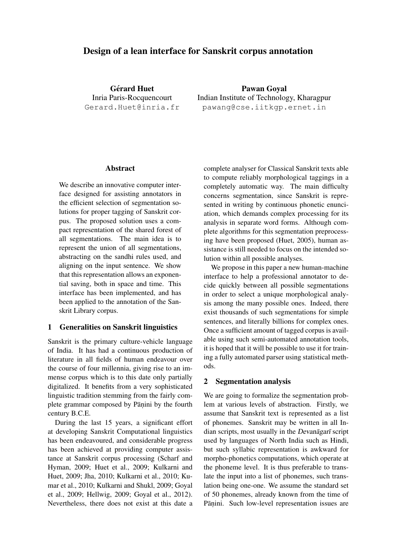# Design of a lean interface for Sanskrit corpus annotation

**Gérard Huet** Inria Paris-Rocquencourt Gerard.Huet@inria.fr

Pawan Goyal Indian Institute of Technology, Kharagpur pawang@cse.iitkgp.ernet.in

#### **Abstract**

We describe an innovative computer interface designed for assisting annotators in the efficient selection of segmentation solutions for proper tagging of Sanskrit corpus. The proposed solution uses a compact representation of the shared forest of all segmentations. The main idea is to represent the union of all segmentations, abstracting on the sandhi rules used, and aligning on the input sentence. We show that this representation allows an exponential saving, both in space and time. This interface has been implemented, and has been applied to the annotation of the Sanskrit Library corpus.

#### 1 Generalities on Sanskrit linguistics

Sanskrit is the primary culture-vehicle language of India. It has had a continuous production of literature in all fields of human endeavour over the course of four millennia, giving rise to an immense corpus which is to this date only partially digitalized. It benefits from a very sophisticated linguistic tradition stemming from the fairly complete grammar composed by Pāṇini by the fourth century B.C.E.

During the last 15 years, a significant effort at developing Sanskrit Computational linguistics has been endeavoured, and considerable progress has been achieved at providing computer assistance at Sanskrit corpus processing (Scharf and Hyman, 2009; Huet et al., 2009; Kulkarni and Huet, 2009; Jha, 2010; Kulkarni et al., 2010; Kumar et al., 2010; Kulkarni and Shukl, 2009; Goyal et al., 2009; Hellwig, 2009; Goyal et al., 2012). Nevertheless, there does not exist at this date a complete analyser for Classical Sanskrit texts able to compute reliably morphological taggings in a completely automatic way. The main difficulty concerns segmentation, since Sanskrit is represented in writing by continuous phonetic enunciation, which demands complex processing for its analysis in separate word forms. Although complete algorithms for this segmentation preprocessing have been proposed (Huet, 2005), human assistance is still needed to focus on the intended solution within all possible analyses.

We propose in this paper a new human-machine interface to help a professional annotator to decide quickly between all possible segmentations in order to select a unique morphological analysis among the many possible ones. Indeed, there exist thousands of such segmentations for simple sentences, and literally billions for complex ones. Once a sufficient amount of tagged corpus is available using such semi-automated annotation tools, it is hoped that it will be possible to use it for training a fully automated parser using statistical methods.

## 2 Segmentation analysis

We are going to formalize the segmentation problem at various levels of abstraction. Firstly, we assume that Sanskrit text is represented as a list of phonemes. Sanskrit may be written in all Indian scripts, most usually in the Devanagari script used by languages of North India such as Hindi, but such syllabic representation is awkward for morpho-phonetics computations, which operate at the phoneme level. It is thus preferable to translate the input into a list of phonemes, such translation being one-one. We assume the standard set of 50 phonemes, already known from the time of Pāṇini. Such low-level representation issues are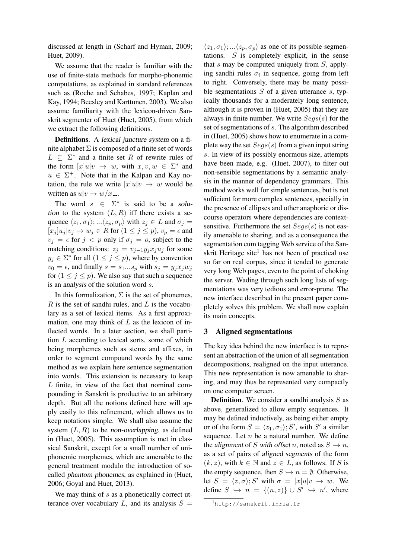discussed at length in (Scharf and Hyman, 2009; Huet, 2009).

We assume that the reader is familiar with the use of finite-state methods for morpho-phonemic computations, as explained in standard references such as (Roche and Schabes, 1997; Kaplan and Kay, 1994; Beesley and Karttunen, 2003). We also assume familiarity with the lexicon-driven Sanskrit segmenter of Huet (Huet, 2005), from which we extract the following definitions.

Definitions. A lexical juncture system on a finite alphabet  $\Sigma$  is composed of a finite set of words  $L \subseteq \Sigma^*$  and a finite set R of rewrite rules of the form  $[x]u|v \rightarrow w$ , with  $x, v, w \in \Sigma^*$  and  $u \in \Sigma^{+}$ . Note that in the Kalpan and Kay notation, the rule we write  $[x]u|v \rightarrow w$  would be written as  $u|v \to w/x$ ...

The word  $s \in \Sigma^*$  is said to be a solution to the system  $(L, R)$  iff there exists a sequence  $\langle z_1, \sigma_1 \rangle; ... \langle z_p, \sigma_p \rangle$  with  $z_j \in L$  and  $\sigma_j =$  $[x_j]u_j |v_j \to w_j \in R$  for  $(1 \leq j \leq p)$ ,  $v_p = \epsilon$  and  $v_j = \epsilon$  for  $j < p$  only if  $\sigma_j = o$ , subject to the matching conditions:  $z_j = v_{j-1}y_jx_ju_j$  for some  $y_j \in \Sigma^*$  for all  $(1 \le j \le p)$ , where by convention  $v_0 = \epsilon$ , and finally  $s = s_1...s_p$  with  $s_j = y_j x_j w_j$ for  $(1 \le j \le p)$ . We also say that such a sequence is an analysis of the solution word s.

In this formalization,  $\Sigma$  is the set of phonemes,  $R$  is the set of sandhi rules, and  $L$  is the vocabulary as a set of lexical items. As a first approximation, one may think of  $L$  as the lexicon of inflected words. In a later section, we shall partition L according to lexical sorts, some of which being morphemes such as stems and affixes, in order to segment compound words by the same method as we explain here sentence segmentation into words. This extension is necessary to keep L finite, in view of the fact that nominal compounding in Sanskrit is productive to an arbitrary depth. But all the notions defined here will apply easily to this refinement, which allows us to keep notations simple. We shall also assume the system  $(L, R)$  to be non-overlapping, as defined in (Huet, 2005). This assumption is met in classical Sanskrit, except for a small number of uniphonemic morphemes, which are amenable to the general treatment modulo the introduction of socalled phantom phonemes, as explained in (Huet, 2006; Goyal and Huet, 2013).

We may think of  $s$  as a phonetically correct utterance over vocabulary L, and its analysis  $S =$ 

 $\langle z_1, \sigma_1 \rangle; \ldots \langle z_p, \sigma_p \rangle$  as one of its possible segmentations.  $S$  is completely explicit, in the sense that s may be computed uniquely from  $S$ , applying sandhi rules  $\sigma_i$  in sequence, going from left to right. Conversely, there may be many possible segmentations  $S$  of a given utterance  $s$ , typically thousands for a moderately long sentence, although it is proven in (Huet, 2005) that they are always in finite number. We write  $Segs(s)$  for the set of segmentations of s. The algorithm described in (Huet, 2005) shows how to enumerate in a complete way the set  $Segs(s)$  from a given input string s. In view of its possibly enormous size, attempts have been made, e.g. (Huet, 2007), to filter out non-sensible segmentations by a semantic analysis in the manner of dependency grammars. This method works well for simple sentences, but is not sufficient for more complex sentences, specially in the presence of ellipses and other anaphoric or discourse operators where dependencies are contextsensitive. Furthermore the set  $Segs(s)$  is not easily amenable to sharing, and as a consequence the segmentation cum tagging Web service of the Sanskrit Heritage site<sup>1</sup> has not been of practical use so far on real corpus, since it tended to generate very long Web pages, even to the point of choking the server. Wading through such long lists of segmentations was very tedious and error-prone. The new interface described in the present paper completely solves this problem. We shall now explain its main concepts.

#### 3 Aligned segmentations

The key idea behind the new interface is to represent an abstraction of the union of all segmentation decompositions, realigned on the input utterance. This new representation is now amenable to sharing, and may thus be represented very compactly on one computer screen.

**Definition.** We consider a sandhi analysis  $S$  as above, generalized to allow empty sequences. It may be defined inductively, as being either empty or of the form  $S = \langle z_1, \sigma_1 \rangle; S'$ , with S' a similar sequence. Let  $n$  be a natural number. We define the alignment of S with offset n, noted as  $S \hookrightarrow n$ , as a set of pairs of aligned segments of the form  $(k, z)$ , with  $k \in \mathbb{N}$  and  $z \in L$ , as follows. If S is the empty sequence, then  $S \hookrightarrow n = \emptyset$ . Otherwise, let  $S = \langle z, \sigma \rangle; S'$  with  $\sigma = [x]u|v \rightarrow w$ . We define  $S \hookrightarrow n = \{(n, z)\} \cup S' \hookrightarrow n'$ , where

<sup>1</sup>http://sanskrit.inria.fr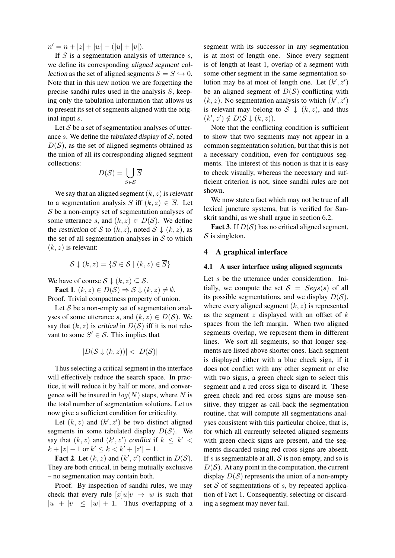$n' = n + |z| + |w| - (|u| + |v|).$ 

If  $S$  is a segmentation analysis of utterance  $s$ , we define its corresponding aligned segment collection as the set of aligned segments  $\overline{S} = S \hookrightarrow 0$ . Note that in this new notion we are forgetting the precise sandhi rules used in the analysis S, keeping only the tabulation information that allows us to present its set of segments aligned with the original input s.

Let  $S$  be a set of segmentation analyses of utterance s. We define the tabulated display of  $S$ , noted  $D(S)$ , as the set of aligned segments obtained as the union of all its corresponding aligned segment collections:

$$
D(\mathcal{S}) = \bigcup_{S \in \mathcal{S}} \overline{S}
$$

We say that an aligned segment  $(k, z)$  is relevant to a segmentation analysis S iff  $(k, z) \in \overline{S}$ . Let S be a non-empty set of segmentation analyses of some utterance s, and  $(k, z) \in D(S)$ . We define the restriction of S to  $(k, z)$ , noted  $S \downarrow (k, z)$ , as the set of all segmentation analyses in  $S$  to which  $(k, z)$  is relevant:

$$
\mathcal{S} \downarrow (k, z) = \{ S \in \mathcal{S} \mid (k, z) \in \overline{S} \}
$$

We have of course  $S \downarrow (k, z) \subseteq S$ .

Fact 1.  $(k, z) \in D(S) \Rightarrow S \downarrow (k, z) \neq \emptyset$ . Proof. Trivial compactness property of union.

Let  $S$  be a non-empty set of segmentation analyses of some utterance s, and  $(k, z) \in D(S)$ . We say that  $(k, z)$  is critical in  $D(S)$  iff it is not relevant to some  $S' \in \mathcal{S}$ . This implies that

$$
|D(\mathcal{S} \downarrow (k, z))| < |D(\mathcal{S})|
$$

Thus selecting a critical segment in the interface will effectively reduce the search space. In practice, it will reduce it by half or more, and convergence will be insured in  $log(N)$  steps, where N is the total number of segmentation solutions. Let us now give a sufficient condition for criticality.

Let  $(k, z)$  and  $(k', z')$  be two distinct aligned segments in some tabulated display  $D(S)$ . We say that  $(k, z)$  and  $(k', z')$  conflict if  $k \leq k' <$  $k + |z| - 1$  or  $k' \le k < k' + |z'| - 1$ .

Fact 2. Let  $(k, z)$  and  $(k', z')$  conflict in  $D(S)$ . They are both critical, in being mutually exclusive – no segmentation may contain both.

Proof. By inspection of sandhi rules, we may check that every rule  $[x]u|v \rightarrow w$  is such that  $|u| + |v| \leq |w| + 1$ . Thus overlapping of a

segment with its successor in any segmentation is at most of length one. Since every segment is of length at least 1, overlap of a segment with some other segment in the same segmentation solution may be at most of length one. Let  $(k', z')$ be an aligned segment of  $D(S)$  conflicting with  $(k, z)$ . No segmentation analysis to which  $(k', z')$ is relevant may belong to  $S \downarrow (k, z)$ , and thus  $(k', z') \notin D(S \downarrow (k, z)).$ 

Note that the conflicting condition is sufficient to show that two segments may not appear in a common segmentation solution, but that this is not a necessary condition, even for contiguous segments. The interest of this notion is that it is easy to check visually, whereas the necessary and sufficient criterion is not, since sandhi rules are not shown.

We now state a fact which may not be true of all lexical juncture systems, but is verified for Sanskrit sandhi, as we shall argue in section 6.2.

**Fact 3.** If  $D(S)$  has no critical aligned segment,  $S$  is singleton.

#### 4 A graphical interface

#### 4.1 A user interface using aligned segments

Let s be the utterance under consideration. Initially, we compute the set  $S = Segs(s)$  of all its possible segmentations, and we display  $D(S)$ , where every aligned segment  $(k, z)$  is represented as the segment  $z$  displayed with an offset of  $k$ spaces from the left margin. When two aligned segments overlap, we represent them in different lines. We sort all segments, so that longer segments are listed above shorter ones. Each segment is displayed either with a blue check sign, if it does not conflict with any other segment or else with two signs, a green check sign to select this segment and a red cross sign to discard it. These green check and red cross signs are mouse sensitive, they trigger as call-back the segmentation routine, that will compute all segmentations analyses consistent with this particular choice, that is, for which all currently selected aligned segments with green check signs are present, and the segments discarded using red cross signs are absent. If s is segmentable at all,  $S$  is non empty, and so is  $D(S)$ . At any point in the computation, the current display  $D(S)$  represents the union of a non-empty set  $S$  of segmentations of  $s$ , by repeated application of Fact 1. Consequently, selecting or discarding a segment may never fail.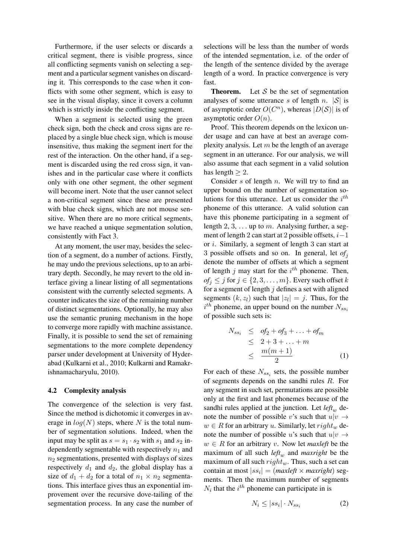Furthermore, if the user selects or discards a critical segment, there is visible progress, since all conflicting segments vanish on selecting a segment and a particular segment vanishes on discarding it. This corresponds to the case when it conflicts with some other segment, which is easy to see in the visual display, since it covers a column which is strictly inside the conflicting segment.

When a segment is selected using the green check sign, both the check and cross signs are replaced by a single blue check sign, which is mouse insensitive, thus making the segment inert for the rest of the interaction. On the other hand, if a segment is discarded using the red cross sign, it vanishes and in the particular case where it conflicts only with one other segment, the other segment will become inert. Note that the user cannot select a non-critical segment since these are presented with blue check signs, which are not mouse sensitive. When there are no more critical segments, we have reached a unique segmentation solution, consistently with Fact 3.

At any moment, the user may, besides the selection of a segment, do a number of actions. Firstly, he may undo the previous selections, up to an arbitrary depth. Secondly, he may revert to the old interface giving a linear listing of all segmentations consistent with the currently selected segments. A counter indicates the size of the remaining number of distinct segmentations. Optionally, he may also use the semantic pruning mechanism in the hope to converge more rapidly with machine assistance. Finally, it is possible to send the set of remaining segmentations to the more complete dependency parser under development at University of Hyderabad (Kulkarni et al., 2010; Kulkarni and Ramakrishnamacharyulu, 2010).

#### 4.2 Complexity analysis

The convergence of the selection is very fast. Since the method is dichotomic it converges in average in  $log(N)$  steps, where N is the total number of segmentation solutions. Indeed, when the input may be split as  $s = s_1 \cdot s_2$  with  $s_1$  and  $s_2$  independently segmentable with respectively  $n_1$  and  $n_2$  segmentations, presented with displays of sizes respectively  $d_1$  and  $d_2$ , the global display has a size of  $d_1 + d_2$  for a total of  $n_1 \times n_2$  segmentations. This interface gives thus an exponential improvement over the recursive dove-tailing of the segmentation process. In any case the number of selections will be less than the number of words of the intended segmentation, i.e. of the order of the length of the sentence divided by the average length of a word. In practice convergence is very fast.

**Theorem.** Let  $S$  be the set of segmentation analyses of some utterance s of length n.  $|S|$  is of asymptotic order  $O(C^n)$ , whereas  $|D(S)|$  is of asymptotic order  $O(n)$ .

Proof. This theorem depends on the lexicon under usage and can have at best an average complexity analysis. Let  $m$  be the length of an average segment in an utterance. For our analysis, we will also assume that each segment in a valid solution has length  $> 2$ .

Consider  $s$  of length  $n$ . We will try to find an upper bound on the number of segmentation solutions for this utterance. Let us consider the  $i^{th}$ phoneme of this utterance. A valid solution can have this phoneme participating in a segment of length 2, 3,  $\dots$  up to m. Analysing further, a segment of length 2 can start at 2 possible offsets,  $i-1$ or i. Similarly, a segment of length 3 can start at 3 possible offsets and so on. In general, let  $of_i$ denote the number of offsets at which a segment of length  $j$  may start for the  $i^{th}$  phoneme. Then,  $of_i \leq j$  for  $j \in \{2, 3, \ldots, m\}$ . Every such offset k for a segment of length  $j$  defines a set with aligned segments  $(k, z_l)$  such that  $|z_l| = j$ . Thus, for the  $i^{th}$  phoneme, an upper bound on the number  $N_{ss}$ of possible such sets is:

$$
N_{ss_i} \leq of_2 + of_3 + \ldots + of_m
$$
  
\n
$$
\leq 2 + 3 + \ldots + m
$$
  
\n
$$
\leq \frac{m(m+1)}{2}
$$
 (1)

For each of these  $N_{ss_i}$  sets, the possible number of segments depends on the sandhi rules R. For any segment in such set, permutations are possible only at the first and last phonemes because of the sandhi rules applied at the junction. Let  $left_w$  denote the number of possible v's such that  $u|v \rightarrow$  $w \in R$  for an arbitrary u. Similarly, let  $right_w$  denote the number of possible u's such that  $u|v \rightarrow$  $w \in R$  for an arbitrary v. Now let *maxleft* be the maximum of all such  $left_{w}$  and *maxright* be the maximum of all such  $right_w$ . Thus, such a set can contain at most  $|ss_i| = (maxleft \times maxright)$  segments. Then the maximum number of segments  $N_i$  that the  $i^{th}$  phoneme can participate in is

$$
N_i \le |ss_i| \cdot N_{ss_i} \tag{2}
$$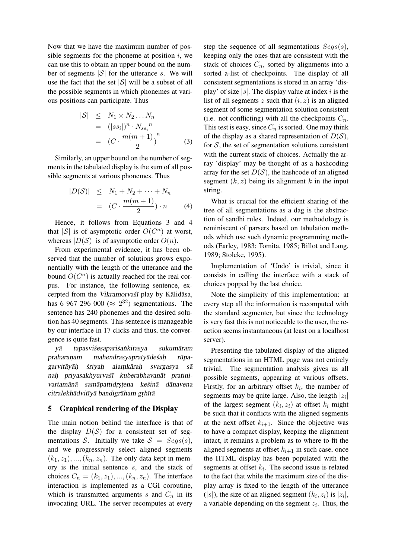Now that we have the maximum number of possible segments for the phoneme at position  $i$ , we can use this to obtain an upper bound on the number of segments  $|S|$  for the utterance s. We will use the fact that the set  $|S|$  will be a subset of all the possible segments in which phonemes at various positions can participate. Thus

$$
|S| \leq N_1 \times N_2 \dots N_n
$$
  
=  $(|ss_i|)^n \cdot N_{ss_i}^n$   
=  $(C \cdot \frac{m(m+1)}{2})^n$  (3)

Similarly, an upper bound on the number of segments in the tabulated display is the sum of all possible segments at various phonemes. Thus

$$
|D(S)| \leq N_1 + N_2 + \dots + N_n
$$
  
= 
$$
(C \cdot \frac{m(m+1)}{2}) \cdot n
$$
 (4)

Hence, it follows from Equations 3 and 4 that  $|S|$  is of asymptotic order  $O(C^n)$  at worst, whereas  $|D(S)|$  is of asymptotic order  $O(n)$ .

From experimental evidence, it has been observed that the number of solutions grows exponentially with the length of the utterance and the bound  $O(C^n)$  is actually reached for the real corpus. For instance, the following sentence, excerpted from the Vikramorvasī play by Kālidāsa, has 6 967 296 000 ( $\approx 2^{32}$ ) segmentations. The sentence has 240 phonemes and the desired solution has 40 segments. This sentence is manageable by our interface in 17 clicks and thus, the convergence is quite fast.

yā tapasvišesaparišankitasya sukumāram praharan. mahendrasyapratyade sah rūpagarvitāyāh śriyaḥ alaṃkāraḥ svargasya sā nah priyasakhyurvas<del>i</del> kuberabhavanāt pratinivartamānā samāpattidrstena kesinā dānavena citralekhādvitīyā bandigrāham grhītā

#### 5 Graphical rendering of the Display

The main notion behind the interface is that of the display  $D(S)$  for a consistent set of segmentations S. Initially we take  $S = Segs(s)$ , and we progressively select aligned segments  $(k_1, z_1), ..., (k_n, z_n)$ . The only data kept in memory is the initial sentence s, and the stack of choices  $C_n = (k_1, z_1), ..., (k_n, z_n)$ . The interface interaction is implemented as a CGI coroutine, which is transmitted arguments s and  $C_n$  in its invocating URL. The server recomputes at every

step the sequence of all segmentations  $Segs(s)$ , keeping only the ones that are consistent with the stack of choices  $C_n$ , sorted by alignments into a sorted a-list of checkpoints. The display of all consistent segmentations is stored in an array 'display' of size  $|s|$ . The display value at index i is the list of all segments z such that  $(i, z)$  is an aligned segment of some segmentation solution consistent (i.e. not conflicting) with all the checkpoints  $C_n$ . This test is easy, since  $C_n$  is sorted. One may think of the display as a shared representation of  $D(S)$ , for  $S$ , the set of segmentation solutions consistent with the current stack of choices. Actually the array 'display' may be thought of as a hashcoding array for the set  $D(S)$ , the hashcode of an aligned segment  $(k, z)$  being its alignment k in the input string.

What is crucial for the efficient sharing of the tree of all segmentations as a dag is the abstraction of sandhi rules. Indeed, our methodology is reminiscent of parsers based on tabulation methods which use such dynamic programming methods (Earley, 1983; Tomita, 1985; Billot and Lang, 1989; Stolcke, 1995).

Implementation of 'Undo' is trivial, since it consists in calling the interface with a stack of choices popped by the last choice.

Note the simplicity of this implementation: at every step all the information is recomputed with the standard segmenter, but since the technology is very fast this is not noticeable to the user, the reaction seems instantaneous (at least on a localhost server).

Presenting the tabulated display of the aligned segmentations in an HTML page was not entirely trivial. The segmentation analysis gives us all possible segments, appearing at various offsets. Firstly, for an arbitrary offset  $k_i$ , the number of segments may be quite large. Also, the length  $|z_i|$ of the largest segment  $(k_i, z_i)$  at offset  $k_i$  might be such that it conflicts with the aligned segments at the next offset  $k_{i+1}$ . Since the objective was to have a compact display, keeping the alignment intact, it remains a problem as to where to fit the aligned segments at offset  $k_{i+1}$  in such case, once the HTML display has been populated with the segments at offset  $k_i$ . The second issue is related to the fact that while the maximum size of the display array is fixed to the length of the utterance  $(|s|)$ , the size of an aligned segment  $(k_i, z_i)$  is  $|z_i|$ , a variable depending on the segment  $z_i$ . Thus, the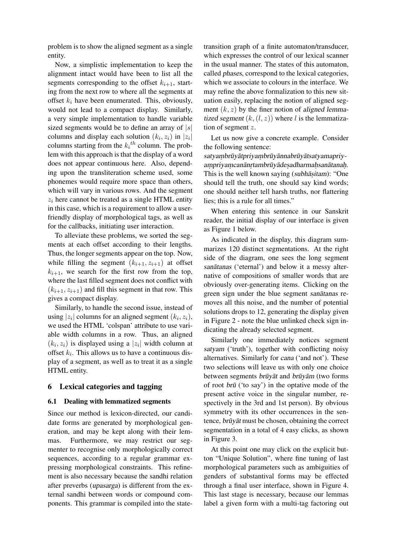problem is to show the aligned segment as a single entity.

Now, a simplistic implementation to keep the alignment intact would have been to list all the segments corresponding to the offset  $k_{i+1}$ , starting from the next row to where all the segments at offset  $k_i$  have been enumerated. This, obviously, would not lead to a compact display. Similarly, a very simple implementation to handle variable sized segments would be to define an array of  $|s|$ columns and display each solution  $(k_i, z_i)$  in  $|z_i|$ columns starting from the  $k_i$ <sup>th</sup> column. The problem with this approach is that the display of a word does not appear continuous here. Also, depending upon the transliteration scheme used, some phonemes would require more space than others, which will vary in various rows. And the segment  $z_i$  here cannot be treated as a single HTML entity in this case, which is a requirement to allow a userfriendly display of morphological tags, as well as for the callbacks, initiating user interaction.

To alleviate these problems, we sorted the segments at each offset according to their lengths. Thus, the longer segments appear on the top. Now, while filling the segment  $(k_{i+1}, z_{i+1})$  at offset  $k_{i+1}$ , we search for the first row from the top, where the last filled segment does not conflict with  $(k_{i+1}, z_{i+1})$  and fill this segment in that row. This gives a compact display.

Similarly, to handle the second issue, instead of using  $|z_i|$  columns for an aligned segment  $(k_i, z_i)$ , we used the HTML 'colspan' attribute to use variable width columns in a row. Thus, an aligned  $(k_i, z_i)$  is displayed using a  $|z_i|$  width column at offset  $k_i$ . This allows us to have a continuous display of a segment, as well as to treat it as a single HTML entity.

### 6 Lexical categories and tagging

#### 6.1 Dealing with lemmatized segments

Since our method is lexicon-directed, our candidate forms are generated by morphological generation, and may be kept along with their lemmas. Furthermore, we may restrict our segmenter to recognise only morphologically correct sequences, according to a regular grammar expressing morphological constraints. This refinement is also necessary because the sandhi relation after preverbs (upasarga) is different from the external sandhi between words or compound components. This grammar is compiled into the statetransition graph of a finite automaton/transducer, which expresses the control of our lexical scanner in the usual manner. The states of this automaton, called phases, correspond to the lexical categories, which we associate to colours in the interface. We may refine the above formalization to this new situation easily, replacing the notion of aligned segment  $(k, z)$  by the finer notion of aligned lemmatized segment  $(k, (l, z))$  where l is the lemmatization of segment z.

Let us now give a concrete example. Consider the following sentence:

satyam brū yātpriyam brū yānna brū yātsatyama priyampriyamcanānr tambrūyā desa dharmah sanātanaḥ. This is the well known saying (subhāsitam): "One should tell the truth, one should say kind words; one should neither tell harsh truths, nor flattering lies; this is a rule for all times."

When entering this sentence in our Sanskrit reader, the initial display of our interface is given as Figure 1 below.

As indicated in the display, this diagram summarizes 120 distinct segmentations. At the right side of the diagram, one sees the long segment sanātanas ('eternal') and below it a messy alternative of compositions of smaller words that are obviously over-generating items. Clicking on the green sign under the blue segment sanātanas removes all this noise, and the number of potential solutions drops to 12, generating the display given in Figure 2 - note the blue unlinked check sign indicating the already selected segment.

Similarly one immediately notices segment satyam ('truth'), together with conflicting noisy alternatives. Similarly for cana ('and not'). These two selections will leave us with only one choice between segments brūyāt and brūyām (two forms of root  $b r \bar{u}$  ('to say') in the optative mode of the present active voice in the singular number, respectively in the 3rd and 1st person). By obvious symmetry with its other occurrences in the sentence, brūyāt must be chosen, obtaining the correct segmentation in a total of 4 easy clicks, as shown in Figure 3.

At this point one may click on the explicit button "Unique Solution", where fine tuning of last morphological parameters such as ambiguities of genders of substantival forms may be effected through a final user interface, shown in Figure 4. This last stage is necessary, because our lemmas label a given form with a multi-tag factoring out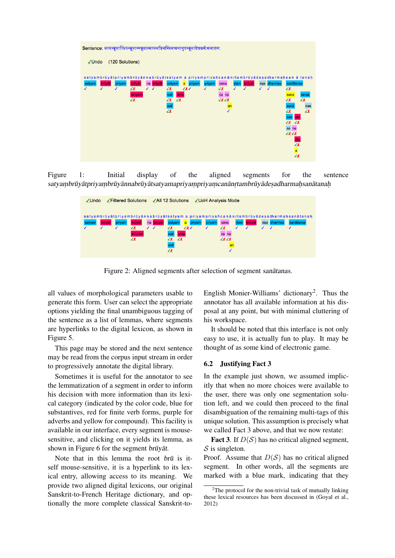

Figure 1: Initial display of the aligned segments for the sentence  $s$ atyaṃbrūyā $t$ priyaṃbrūyānnabrūyātsatyamapriyaṃpriyaṃ $c$ anānṛ $t$ ambrūyā $d$ esadharmaḥsanā $t$ anaḥ

| √Undo  |                          |               |        | <b>√Filtered Solutions √All 12 Solutions</b> |              |                  |                  |                  |        | √UoH Analysis Mode |                       |                |             |             |                                                                                         |
|--------|--------------------------|---------------|--------|----------------------------------------------|--------------|------------------|------------------|------------------|--------|--------------------|-----------------------|----------------|-------------|-------------|-----------------------------------------------------------------------------------------|
|        |                          |               |        |                                              |              |                  |                  |                  |        |                    |                       |                |             |             |                                                                                         |
|        |                          |               |        |                                              |              |                  |                  |                  |        |                    |                       |                |             |             | satyambrūyātpriyambrūyānnabrūyātsatyam a priyampriyañcanānrtambrūyādesadharmahsanātanah |
| satyam |                          | <b>brūvāt</b> | privam | brüyät                                       |              | na <b>brūvāt</b> | satyam           | $\mathbf{a}$     | priyam | priyam             | cana                  |                | rtam brüyät | esa dharmas | sanātanas                                                                               |
|        | $\overline{\mathcal{L}}$ | $\checkmark$  |        | $\sqrt{x}$                                   | $\checkmark$ | $\checkmark$     | $\sqrt{\chi}$    | $\sqrt{X}$       |        | $\checkmark$       | $\boldsymbol{X}$      | $\overline{J}$ | J           |             |                                                                                         |
|        |                          |               |        | brūvām                                       |              |                  | sati             | ama              |        |                    | ca na                 |                |             |             |                                                                                         |
|        |                          |               |        | ⊻≚                                           |              |                  | $\boldsymbol{X}$ | $\boldsymbol{X}$ |        |                    | $\sqrt{X}$ $\sqrt{X}$ |                |             |             |                                                                                         |
|        |                          |               |        |                                              |              |                  | safi             |                  |        |                    | an                    |                |             |             |                                                                                         |
|        |                          |               |        |                                              |              |                  | $\sqrt{\chi}$    |                  |        |                    |                       |                |             |             |                                                                                         |
|        |                          |               |        |                                              |              |                  |                  |                  |        |                    |                       |                |             |             |                                                                                         |

Figure 2: Aligned segments after selection of segment sanātanas.

all values of morphological parameters usable to generate this form. User can select the appropriate options yielding the final unambiguous tagging of the sentence as a list of lemmas, where segments are hyperlinks to the digital lexicon, as shown in Figure 5.

This page may be stored and the next sentence may be read from the corpus input stream in order to progressively annotate the digital library.

Sometimes it is useful for the annotator to see the lemmatization of a segment in order to inform his decision with more information than its lexical category (indicated by the color code, blue for substantives, red for finite verb forms, purple for adverbs and yellow for compound). This facility is available in our interface, every segment is mousesensitive, and clicking on it yields its lemma, as shown in Figure 6 for the segment brūyāt.

Note that in this lemma the root  $b$ rū is itself mouse-sensitive, it is a hyperlink to its lexical entry, allowing access to its meaning. We provide two aligned digital lexicons, our original Sanskrit-to-French Heritage dictionary, and optionally the more complete classical Sanskrit-to-

English Monier-Williams' dictionary<sup>2</sup>. Thus the annotator has all available information at his disposal at any point, but with minimal cluttering of his workspace.

It should be noted that this interface is not only easy to use, it is actually fun to play. It may be thought of as some kind of electronic game.

#### 6.2 Justifying Fact 3

In the example just shown, we assumed implicitly that when no more choices were available to the user, there was only one segmentation solution left, and we could then proceed to the final disambiguation of the remaining multi-tags of this unique solution. This assumption is precisely what we called Fact 3 above, and that we now restate:

**Fact 3.** If  $D(S)$  has no critical aligned segment,  $S$  is singleton.

Proof. Assume that  $D(S)$  has no critical aligned segment. In other words, all the segments are marked with a blue mark, indicating that they

 $2$ The protocol for the non-trivial task of mutually linking these lexical resources has been discussed in (Goyal et al., 2012)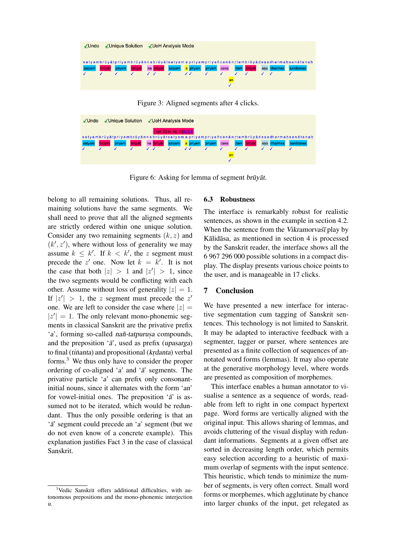

Figure 3: Aligned segments after 4 clicks.

| √Unique Solution √UoH Analysis Mode<br>√Undo |        |        |        |   |           |                                |  |            |        |      |  |             |             |                                                                                          |
|----------------------------------------------|--------|--------|--------|---|-----------|--------------------------------|--|------------|--------|------|--|-------------|-------------|------------------------------------------------------------------------------------------|
|                                              |        |        |        |   |           | { opt. [2] ac. sg. 3 } [bru] X |  |            |        |      |  |             |             | satyambrūyātpriyambrūyānnabrūyātsatyam a priyampriyañcanān rtambrūyādesadharmahsanātanah |
| satyam                                       | brūvāt | privam | brūvāt |   | na brūyāt | satyam                         |  | a priyam   | privam | cana |  | rtam brūyāt | esa dharmas | sanātanas                                                                                |
|                                              |        |        |        | J |           |                                |  | $\sqrt{2}$ |        | an   |  |             |             |                                                                                          |

Figure 6: Asking for lemma of segment brūyāt.

belong to all remaining solutions. Thus, all remaining solutions have the same segments. We shall need to prove that all the aligned segments are strictly ordered within one unique solution. Consider any two remaining segments  $(k, z)$  and  $(k', z')$ , where without loss of generality we may assume  $k \leq k'$ . If  $k < k'$ , the z segment must precede the z' one. Now let  $k = k'$ . It is not the case that both  $|z| > 1$  and  $|z'| > 1$ , since the two segments would be conflicting with each other. Assume without loss of generality  $|z| = 1$ . If  $|z'| > 1$ , the z segment must precede the z' one. We are left to consider the case where  $|z| =$  $|z'| = 1$ . The only relevant mono-phonemic segments in classical Sanskrit are the privative prefix 'a', forming so-called nañ-tatpurusa compounds, and the preposition  $\hat{a}$ , used as prefix (upasarga) to final (tinanta) and propositional (krdanta) verbal forms.<sup>3</sup> We thus only have to consider the proper ordering of co-aligned 'a' and ' $\bar{a}$ ' segments. The privative particle 'a' can prefix only consonantinitial nouns, since it alternates with the form 'an' for vowel-initial ones. The preposition  $\hat{a}$  is assumed not to be iterated, which would be redundant. Thus the only possible ordering is that an 'a' segment could precede an 'a' segment (but we do not even know of a concrete example). This explanation justifies Fact 3 in the case of classical Sanskrit.

#### 6.3 Robustness

The interface is remarkably robust for realistic sentences, as shown in the example in section 4.2. When the sentence from the Vikramorvast play by Kālidāsa, as mentioned in section 4 is processed by the Sanskrit reader, the interface shows all the 6 967 296 000 possible solutions in a compact display. The display presents various choice points to the user, and is manageable in 17 clicks.

#### 7 Conclusion

We have presented a new interface for interactive segmentation cum tagging of Sanskrit sentences. This technology is not limited to Sanskrit. It may be adapted to interactive feedback with a segmenter, tagger or parser, where sentences are presented as a finite collection of sequences of annotated word forms (lemmas). It may also operate at the generative morphology level, where words are presented as composition of morphemes.

This interface enables a human annotator to visualise a sentence as a sequence of words, readable from left to right in one compact hypertext page. Word forms are vertically aligned with the original input. This allows sharing of lemmas, and avoids cluttering of the visual display with redundant informations. Segments at a given offset are sorted in decreasing length order, which permits easy selection according to a heuristic of maximum overlap of segments with the input sentence. This heuristic, which tends to minimize the number of segments, is very often correct. Small word forms or morphemes, which agglutinate by chance into larger chunks of the input, get relegated as

<sup>&</sup>lt;sup>3</sup>Vedic Sanskrit offers additional difficulties, with autonomous prepositions and the mono-phonemic interjection u.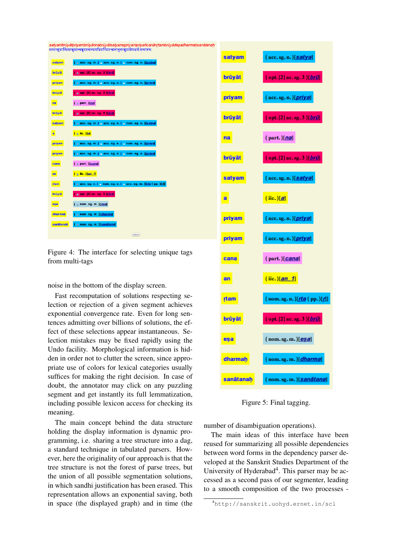| satyambrūyātpriyambrūyānnabrūyātsatyamapriyampriyañcanānṛtambrūyādeṣadharmaḷ<br>सत्यम्बूयात्प्रियम्बूयान्नबूयात्सत्यमप्रियम्प्रियश्वनानृतम्बूयादेषधर्मःसनातनः |  |
|---------------------------------------------------------------------------------------------------------------------------------------------------------------|--|
| satyam<br>$\{ \circ \circ \text{acc. sg. m.} \} \circ \text{acc. sg. n.} \} \circ \text{nom. sg. n. } \{ \text{satya} \}$                                     |  |
| brüyät<br>o opt. [2] ac. sg. 3 }[bri]                                                                                                                         |  |
| { a acc. sg. m.   a acc. sg. n.   a nom. sg. n. }[priya]<br>priyam                                                                                            |  |
| brüyät<br>{ e opt. [2] ac. sg. 3 }[bri]                                                                                                                       |  |
| $\{ \circ$ part. }[na]<br>na                                                                                                                                  |  |
| { o opt. [2] ac. sg. 3 }[bril]<br>brüyät                                                                                                                      |  |
| satyam<br>{ 3 acc. sg. m.   3 acc. sg. n.   3 nom. sg. n. }[satya]                                                                                            |  |
| $\{ \circ$ iic. $\{a\}$<br>a                                                                                                                                  |  |
| priyam<br>{ 3 acc. sg. m.   3 acc. sg. n.   3 nom. sg. n. }[priya]                                                                                            |  |
| { a acc. sg. m.   a acc. sg. n.   a nom. sg. n. }[prival<br>priyam                                                                                            |  |
| $\{\circ$ part. }[cana]<br>cana                                                                                                                               |  |
| $\left\{ \circ$ iic. $\left\{ \tan \pi \right\}$<br>an                                                                                                        |  |
| { 3 acc. sg. n.   3 nom. sg. n.   3 acc. sg. m. }[rta { pp. }[ri]<br>rtam                                                                                     |  |
| { o opt. [2] ac. sg. 3 }[bril]<br>brüyät                                                                                                                      |  |
| eșa                                                                                                                                                           |  |
| dharmah<br>$\{ \circ$ nom. sg. m. $\{dharma\}$                                                                                                                |  |
| sanātanah                                                                                                                                                     |  |
| Submit                                                                                                                                                        |  |

Figure 4: The interface for selecting unique tags from multi-tags

noise in the bottom of the display screen.

Fast recomputation of solutions respecting selection or rejection of a given segment achieves exponential convergence rate. Even for long sentences admitting over billions of solutions, the effect of these selections appear instantaneous. Selection mistakes may be fixed rapidly using the Undo facility. Morphological information is hidden in order not to clutter the screen, since appropriate use of colors for lexical categories usually suffices for making the right decision. In case of doubt, the annotator may click on any puzzling segment and get instantly its full lemmatization, including possible lexicon access for checking its meaning.

The main concept behind the data structure holding the display information is dynamic programming, i.e. sharing a tree structure into a dag, a standard technique in tabulated parsers. However, here the originality of our approach is that the tree structure is not the forest of parse trees, but the union of all possible segmentation solutions, in which sandhi justification has been erased. This representation allows an exponential saving, both in space (the displayed graph) and in time (the



Figure 5: Final tagging.

number of disambiguation operations).

The main ideas of this interface have been reused for summarizing all possible dependencies between word forms in the dependency parser developed at the Sanskrit Studies Department of the University of Hyderabad<sup>4</sup>. This parser may be accessed as a second pass of our segmenter, leading to a smooth composition of the two processes -

<sup>4</sup>http://sanskrit.uohyd.ernet.in/scl